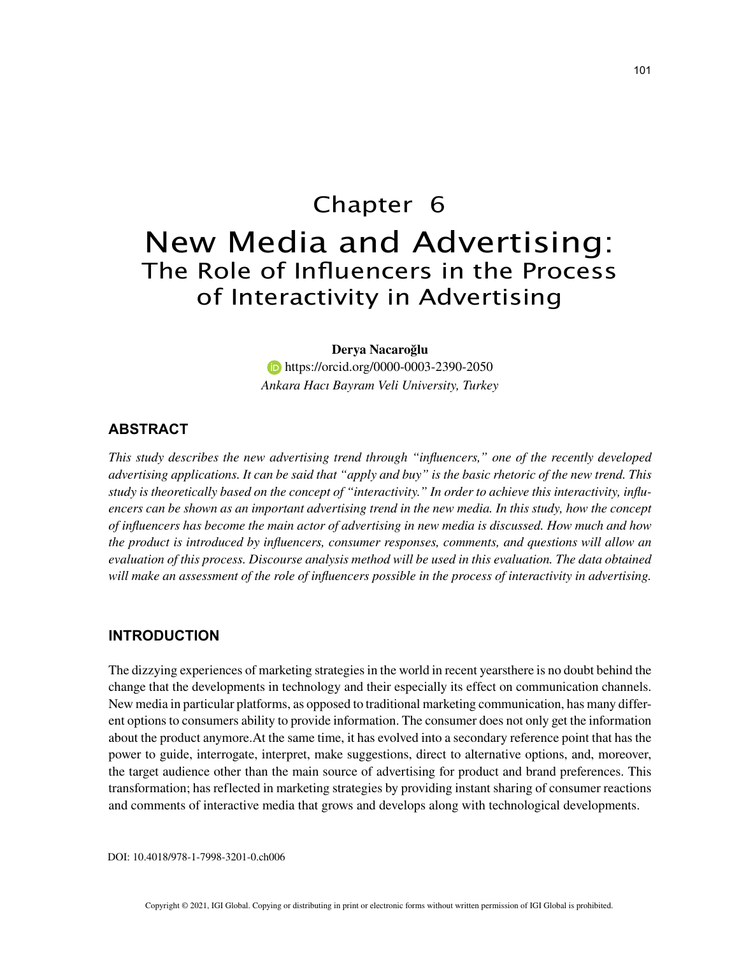# Chapter 6 New Media and Advertising: The Role of Influencers in the Process of Interactivity in Advertising

## **Derya Nacaroğlu**

**https://orcid.org/0000-0003-2390-2050** *Ankara Hacı Bayram Veli University, Turkey*

# **ABSTRACT**

*This study describes the new advertising trend through "influencers," one of the recently developed advertising applications. It can be said that "apply and buy" is the basic rhetoric of the new trend. This study is theoretically based on the concept of "interactivity." In order to achieve this interactivity, influencers can be shown as an important advertising trend in the new media. In this study, how the concept of influencers has become the main actor of advertising in new media is discussed. How much and how the product is introduced by influencers, consumer responses, comments, and questions will allow an evaluation of this process. Discourse analysis method will be used in this evaluation. The data obtained will make an assessment of the role of influencers possible in the process of interactivity in advertising.*

# **INTRODUCTION**

The dizzying experiences of marketing strategies in the world in recent yearsthere is no doubt behind the change that the developments in technology and their especially its effect on communication channels. New media in particular platforms, as opposed to traditional marketing communication, has many different options to consumers ability to provide information. The consumer does not only get the information about the product anymore.At the same time, it has evolved into a secondary reference point that has the power to guide, interrogate, interpret, make suggestions, direct to alternative options, and, moreover, the target audience other than the main source of advertising for product and brand preferences. This transformation; has reflected in marketing strategies by providing instant sharing of consumer reactions and comments of interactive media that grows and develops along with technological developments.

DOI: 10.4018/978-1-7998-3201-0.ch006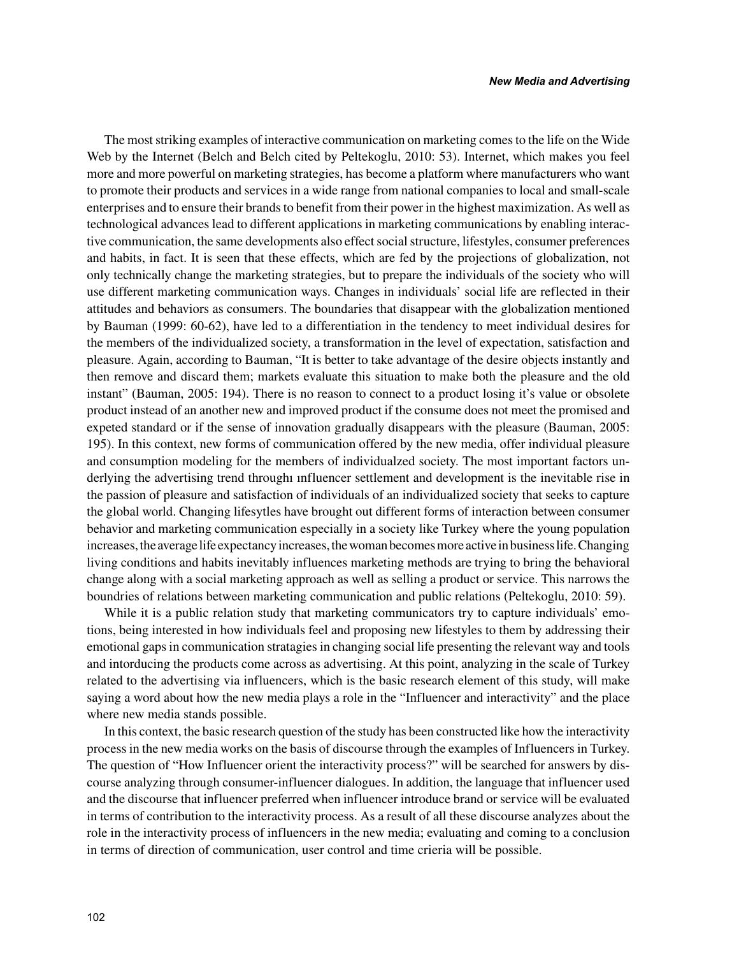The most striking examples of interactive communication on marketing comes to the life on the Wide Web by the Internet (Belch and Belch cited by Peltekoglu, 2010: 53). Internet, which makes you feel more and more powerful on marketing strategies, has become a platform where manufacturers who want to promote their products and services in a wide range from national companies to local and small-scale enterprises and to ensure their brands to benefit from their power in the highest maximization. As well as technological advances lead to different applications in marketing communications by enabling interactive communication, the same developments also effect social structure, lifestyles, consumer preferences and habits, in fact. It is seen that these effects, which are fed by the projections of globalization, not only technically change the marketing strategies, but to prepare the individuals of the society who will use different marketing communication ways. Changes in individuals' social life are reflected in their attitudes and behaviors as consumers. The boundaries that disappear with the globalization mentioned by Bauman (1999: 60-62), have led to a differentiation in the tendency to meet individual desires for the members of the individualized society, a transformation in the level of expectation, satisfaction and pleasure. Again, according to Bauman, "It is better to take advantage of the desire objects instantly and then remove and discard them; markets evaluate this situation to make both the pleasure and the old instant" (Bauman, 2005: 194). There is no reason to connect to a product losing it's value or obsolete product instead of an another new and improved product if the consume does not meet the promised and expeted standard or if the sense of innovation gradually disappears with the pleasure (Bauman, 2005: 195). In this context, new forms of communication offered by the new media, offer individual pleasure and consumption modeling for the members of individualzed society. The most important factors underlying the advertising trend throughı ınfluencer settlement and development is the inevitable rise in the passion of pleasure and satisfaction of individuals of an individualized society that seeks to capture the global world. Changing lifesytles have brought out different forms of interaction between consumer behavior and marketing communication especially in a society like Turkey where the young population increases, the average life expectancy increases, the woman becomes more active in business life. Changing living conditions and habits inevitably influences marketing methods are trying to bring the behavioral change along with a social marketing approach as well as selling a product or service. This narrows the boundries of relations between marketing communication and public relations (Peltekoglu, 2010: 59).

While it is a public relation study that marketing communicators try to capture individuals' emotions, being interested in how individuals feel and proposing new lifestyles to them by addressing their emotional gaps in communication stratagies in changing social life presenting the relevant way and tools and intorducing the products come across as advertising. At this point, analyzing in the scale of Turkey related to the advertising via influencers, which is the basic research element of this study, will make saying a word about how the new media plays a role in the "Influencer and interactivity" and the place where new media stands possible.

In this context, the basic research question of the study has been constructed like how the interactivity process in the new media works on the basis of discourse through the examples of Influencers in Turkey. The question of "How Influencer orient the interactivity process?" will be searched for answers by discourse analyzing through consumer-influencer dialogues. In addition, the language that influencer used and the discourse that influencer preferred when influencer introduce brand or service will be evaluated in terms of contribution to the interactivity process. As a result of all these discourse analyzes about the role in the interactivity process of influencers in the new media; evaluating and coming to a conclusion in terms of direction of communication, user control and time crieria will be possible.